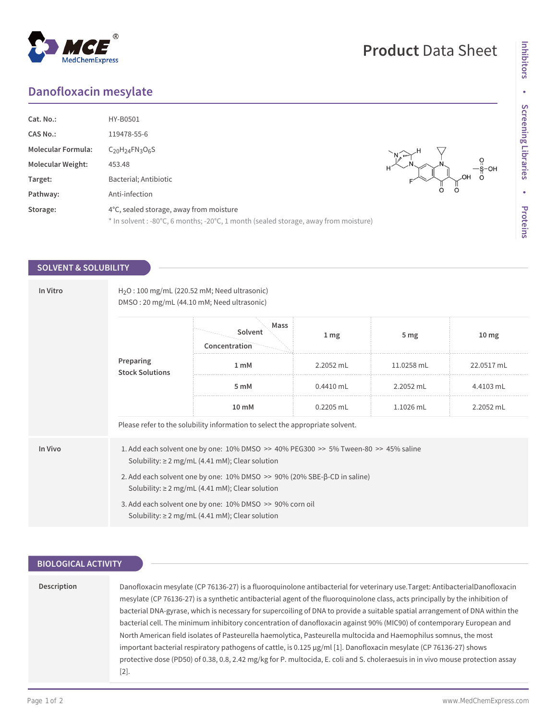## **Danofloxacin mesylate**

| Cat. No.:<br><b>CAS No.:</b><br><b>Molecular Formula:</b><br><b>Molecular Weight:</b><br>Target:<br>Pathway: | HY-B0501<br>119478-55-6<br>$C_{20}H_{24}FN_{3}O_{6}S$<br>453.48<br>Bacterial; Antibiotic<br>Anti-infection                     | OН<br>O |
|--------------------------------------------------------------------------------------------------------------|--------------------------------------------------------------------------------------------------------------------------------|---------|
| Storage:                                                                                                     | 4°C, sealed storage, away from moisture<br>* In solvent : -80°C, 6 months; -20°C, 1 month (sealed storage, away from moisture) |         |

### **SOLVENT & SOLUBILITY**

| In Vitro | $H2O$ : 100 mg/mL (220.52 mM; Need ultrasonic)<br>DMSO: 20 mg/mL (44.10 mM; Need ultrasonic)                                                            |                                                                               |                 |                 |                  |  |
|----------|---------------------------------------------------------------------------------------------------------------------------------------------------------|-------------------------------------------------------------------------------|-----------------|-----------------|------------------|--|
|          | Preparing<br><b>Stock Solutions</b>                                                                                                                     | Mass<br>Solvent<br>Concentration                                              | 1 <sub>mg</sub> | 5 <sub>mg</sub> | 10 <sub>mg</sub> |  |
|          |                                                                                                                                                         | 1 <sub>mM</sub>                                                               | 2.2052 mL       | 11.0258 mL      | 22.0517 mL       |  |
|          |                                                                                                                                                         | 5 mM                                                                          | $0.4410$ mL     | 2.2052 mL       | 4.4103 mL        |  |
|          |                                                                                                                                                         | 10 mM                                                                         | $0.2205$ mL     | 1.1026 mL       | 2.2052 mL        |  |
|          |                                                                                                                                                         | Please refer to the solubility information to select the appropriate solvent. |                 |                 |                  |  |
| In Vivo  | 1. Add each solvent one by one: $10\%$ DMSO >> $40\%$ PEG300 >> $5\%$ Tween-80 >> $45\%$ saline<br>Solubility: $\geq 2$ mg/mL (4.41 mM); Clear solution |                                                                               |                 |                 |                  |  |
|          | 2. Add each solvent one by one: 10% DMSO >> 90% (20% SBE-β-CD in saline)<br>Solubility: $\geq 2$ mg/mL (4.41 mM); Clear solution                        |                                                                               |                 |                 |                  |  |
|          | 3. Add each solvent one by one: 10% DMSO >> 90% corn oil<br>Solubility: $\geq 2$ mg/mL (4.41 mM); Clear solution                                        |                                                                               |                 |                 |                  |  |

### **BIOLOGICAL ACTIVITY**

| Description | Danofloxacin mesylate (CP 76136-27) is a fluoroguinolone antibacterial for veterinary use.Target: AntibacterialDanofloxacin     |  |  |
|-------------|---------------------------------------------------------------------------------------------------------------------------------|--|--|
|             | mesylate (CP 76136-27) is a synthetic antibacterial agent of the fluoroquinolone class, acts principally by the inhibition of   |  |  |
|             | bacterial DNA-gyrase, which is necessary for supercoiling of DNA to provide a suitable spatial arrangement of DNA within the    |  |  |
|             | bacterial cell. The minimum inhibitory concentration of danofloxacin against 90% (MIC90) of contemporary European and           |  |  |
|             | North American field isolates of Pasteurella haemolytica, Pasteurella multocida and Haemophilus somnus, the most                |  |  |
|             | important bacterial respiratory pathogens of cattle, is 0.125 $\mu$ g/ml [1]. Danofloxacin mesylate (CP 76136-27) shows         |  |  |
|             | protective dose (PD50) of 0.38, 0.8, 2.42 mg/kg for P. multocida, E. coli and S. choleraesuis in in vivo mouse protection assay |  |  |
|             | [2].                                                                                                                            |  |  |
|             |                                                                                                                                 |  |  |



# **Product** Data Sheet